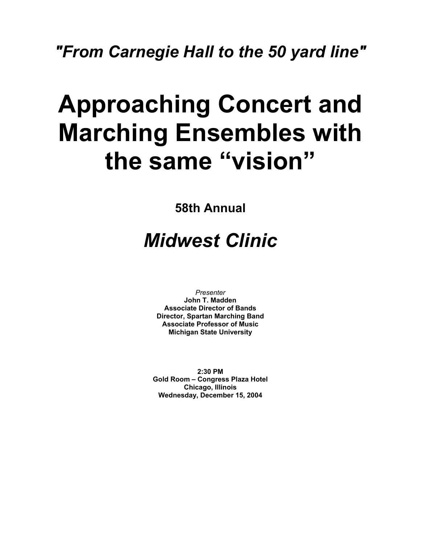## *"From Carnegie Hall to the 50 yard line"*

# **Approaching Concert and Marching Ensembles with the same "vision"**

**58th Annual** 

## *Midwest Clinic*

*Presenter*  **John T. Madden Associate Director of Bands Director, Spartan Marching Band Associate Professor of Music Michigan State University** 

**2:30 PM Gold Room – Congress Plaza Hotel Chicago, Illinois Wednesday, December 15, 2004**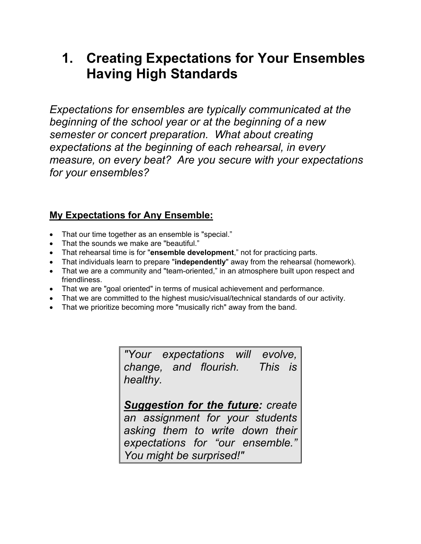## **1. Creating Expectations for Your Ensembles Having High Standards**

*Expectations for ensembles are typically communicated at the beginning of the school year or at the beginning of a new semester or concert preparation. What about creating expectations at the beginning of each rehearsal, in every measure, on every beat? Are you secure with your expectations for your ensembles?* 

#### **My Expectations for Any Ensemble:**

- That our time together as an ensemble is "special."
- That the sounds we make are "beautiful."
- That rehearsal time is for "**ensemble development**," not for practicing parts.
- That individuals learn to prepare "**independently**" away from the rehearsal (homework).
- That we are a community and "team-oriented," in an atmosphere built upon respect and friendliness.
- That we are "goal oriented" in terms of musical achievement and performance.
- That we are committed to the highest music/visual/technical standards of our activity.
- That we prioritize becoming more "musically rich" away from the band.

*"Your expectations will evolve, change, and flourish. This is healthy.* 

*Suggestion for the future: create an assignment for your students asking them to write down their expectations for "our ensemble." You might be surprised!"*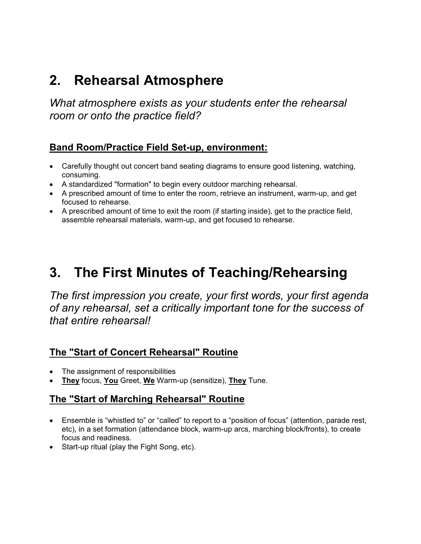## **2. Rehearsal Atmosphere**

*What atmosphere exists as your students enter the rehearsal room or onto the practice field?* 

#### **Band Room/Practice Field Set-up, environment:**

- Carefully thought out concert band seating diagrams to ensure good listening, watching, consuming.
- A standardized "formation" to begin every outdoor marching rehearsal.
- A prescribed amount of time to enter the room, retrieve an instrument, warm-up, and get focused to rehearse.
- A prescribed amount of time to exit the room (if starting inside), get to the practice field, assemble rehearsal materials, warm-up, and get focused to rehearse.

## **3. The First Minutes of Teaching/Rehearsing**

*The first impression you create, your first words, your first agenda of any rehearsal, set a critically important tone for the success of that entire rehearsal!* 

#### **The "Start of Concert Rehearsal" Routine**

- The assignment of responsibilities
- **They** focus, **You** Greet, **We** Warm-up (sensitize), **They** Tune.

#### **The "Start of Marching Rehearsal" Routine**

- Ensemble is "whistled to" or "called" to report to a "position of focus" (attention, parade rest, etc), in a set formation (attendance block, warm-up arcs, marching block/fronts), to create focus and readiness.
- Start-up ritual (play the Fight Song, etc).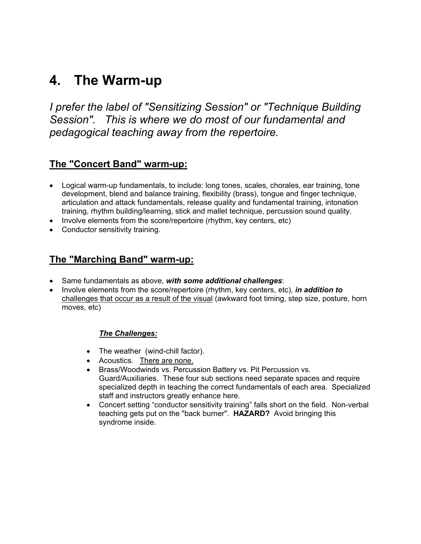## **4. The Warm-up**

*I prefer the label of "Sensitizing Session" or "Technique Building Session". This is where we do most of our fundamental and pedagogical teaching away from the repertoire.* 

#### **The "Concert Band" warm-up:**

- Logical warm-up fundamentals, to include: long tones, scales, chorales, ear training, tone development, blend and balance training, flexibility (brass), tongue and finger technique, articulation and attack fundamentals, release quality and fundamental training, intonation training, rhythm building/learning, stick and mallet technique, percussion sound quality.
- Involve elements from the score/repertoire (rhythm, key centers, etc)
- Conductor sensitivity training.

#### **The "Marching Band" warm-up:**

- Same fundamentals as above, *with some additional challenges*:
- Involve elements from the score/repertoire (rhythm, key centers, etc), *in addition to* challenges that occur as a result of the visual (awkward foot timing, step size, posture, horn moves, etc)

#### *The Challenges:*

- The weather (wind-chill factor).
- Acoustics. There are none.
- Brass/Woodwinds vs. Percussion Battery vs. Pit Percussion vs. Guard/Auxiliaries. These four sub sections need separate spaces and require specialized depth in teaching the correct fundamentals of each area. Specialized staff and instructors greatly enhance here.
- Concert setting "conductor sensitivity training" falls short on the field. Non-verbal teaching gets put on the "back burner". **HAZARD?** Avoid bringing this syndrome inside.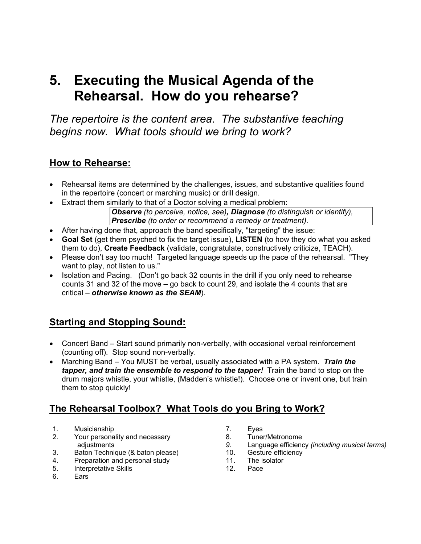## **5. Executing the Musical Agenda of the Rehearsal. How do you rehearse?**

*The repertoire is the content area. The substantive teaching begins now. What tools should we bring to work?* 

#### **How to Rehearse:**

- Rehearsal items are determined by the challenges, issues, and substantive qualities found in the repertoire (concert or marching music) or drill design.
- Extract them similarly to that of a Doctor solving a medical problem:

*Observe (to perceive, notice, see), Diagnose (to distinguish or identify), Prescribe (to order or recommend a remedy or treatment).* 

- After having done that, approach the band specifically, "targeting" the issue:
- **Goal Set** (get them psyched to fix the target issue), **LISTEN** (to how they do what you asked them to do), **Create Feedback** (validate, congratulate, constructively criticize, TEACH).
- Please don't say too much! Targeted language speeds up the pace of the rehearsal. "They want to play, not listen to us."
- Isolation and Pacing. (Don't go back 32 counts in the drill if you only need to rehearse counts 31 and 32 of the move – go back to count 29, and isolate the 4 counts that are critical – *otherwise known as the SEAM*).

#### **Starting and Stopping Sound:**

- Concert Band Start sound primarily non-verbally, with occasional verbal reinforcement (counting off). Stop sound non-verbally.
- Marching Band You MUST be verbal, usually associated with a PA system. *Train the tapper, and train the ensemble to respond to the tapper!* Train the band to stop on the drum majors whistle, your whistle, (Madden's whistle!). Choose one or invent one, but train them to stop quickly!

#### **The Rehearsal Toolbox? What Tools do you Bring to Work?**

- 1. Musicianship
- 2. Your personality and necessary adjustments
- 3. Baton Technique (& baton please)
- 4. Preparation and personal study<br>5. Interpretative Skills
- 5. Interpretative Skills
- 6. Ears
- 7. Eyes
- 8. Tuner/Metronome
- *9.* Language efficiency *(including musical terms)*
- 10. Gesture efficiency
- 11. The isolator
- 12. Pace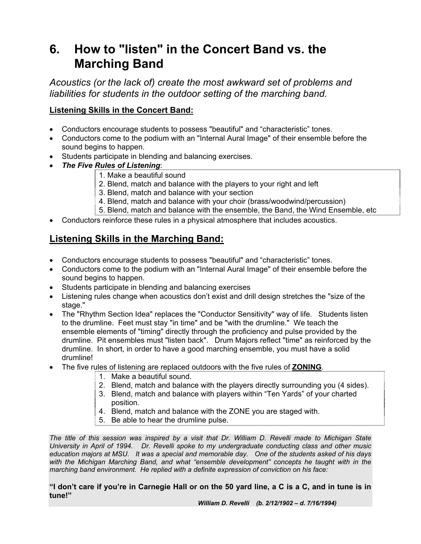### **6. How to "listen" in the Concert Band vs. the Marching Band**

*Acoustics (or the lack of) create the most awkward set of problems and liabilities for students in the outdoor setting of the marching band.* 

#### **Listening Skills in the Concert Band:**

- Conductors encourage students to possess "beautiful" and "characteristic" tones.
- Conductors come to the podium with an "Internal Aural Image" of their ensemble before the sound begins to happen.
- Students participate in blending and balancing exercises.
- *The Five Rules of Listening*:
	- 1. Make a beautiful sound
	- 2. Blend, match and balance with the players to your right and left
	- 3. Blend, match and balance with your section
	- 4. Blend, match and balance with your choir (brass/woodwind/percussion)
	- 5. Blend, match and balance with the ensemble, the Band, the Wind Ensemble, etc
- Conductors reinforce these rules in a physical atmosphere that includes acoustics.

#### **Listening Skills in the Marching Band:**

- Conductors encourage students to possess "beautiful" and "characteristic" tones.
- Conductors come to the podium with an "Internal Aural Image" of their ensemble before the sound begins to happen.
- Students participate in blending and balancing exercises
- Listening rules change when acoustics don't exist and drill design stretches the "size of the stage."
- The "Rhythm Section Idea" replaces the "Conductor Sensitivity" way of life. Students listen to the drumline. Feet must stay "in time" and be "with the drumline." We teach the ensemble elements of "timing" directly through the proficiency and pulse provided by the drumline. Pit ensembles must "listen back". Drum Majors reflect "time" as reinforced by the drumline. In short, in order to have a good marching ensemble, you must have a solid drumline!
- The five rules of listening are replaced outdoors with the five rules of **ZONING**.
	- 1. Make a beautiful sound.
	- 2. Blend, match and balance with the players directly surrounding you (4 sides).
	- 3. Blend, match and balance with players within "Ten Yards" of your charted position.
	- 4. Blend, match and balance with the ZONE you are staged with.
	- 5. Be able to hear the drumline pulse.

*The title of this session was inspired by a visit that Dr. William D. Revelli made to Michigan State University in April of 1994. Dr. Revelli spoke to my undergraduate conducting class and other music education majors at MSU. It was a special and memorable day. One of the students asked of his days with the Michigan Marching Band, and what "ensemble development" concepts he taught with in the marching band environment. He replied with a definite expression of conviction on his face:* 

**"I don't care if you're in Carnegie Hall or on the 50 yard line, a C is a C, and in tune is in tune!"**